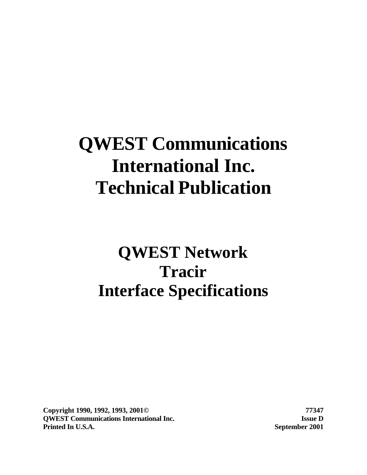# **QWEST Communications International Inc. Technical Publication**

# **QWEST Network Tracir Interface Specifications**

**Copyright 1990, 1992, 1993, 2001© 77347 QWEST Communications International Inc. Issue D Printed In U.S.A. September 2001**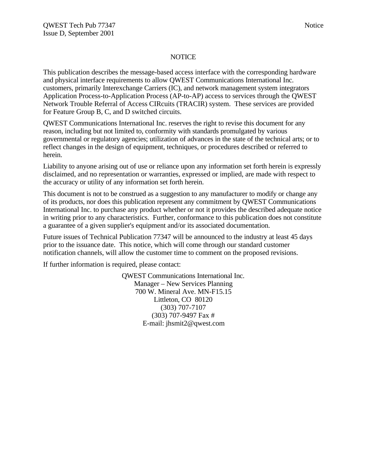#### **NOTICE**

This publication describes the message-based access interface with the corresponding hardware and physical interface requirements to allow QWEST Communications International Inc. customers, primarily Interexchange Carriers (IC), and network management system integrators Application Process-to-Application Process (AP-to-AP) access to services through the QWEST Network Trouble Referral of Access CIRcuits (TRACIR) system. These services are provided for Feature Group B, C, and D switched circuits.

QWEST Communications International Inc. reserves the right to revise this document for any reason, including but not limited to, conformity with standards promulgated by various governmental or regulatory agencies; utilization of advances in the state of the technical arts; or to reflect changes in the design of equipment, techniques, or procedures described or referred to herein.

Liability to anyone arising out of use or reliance upon any information set forth herein is expressly disclaimed, and no representation or warranties, expressed or implied, are made with respect to the accuracy or utility of any information set forth herein.

This document is not to be construed as a suggestion to any manufacturer to modify or change any of its products, nor does this publication represent any commitment by QWEST Communications International Inc. to purchase any product whether or not it provides the described adequate notice in writing prior to any characteristics. Further, conformance to this publication does not constitute a guarantee of a given supplier's equipment and/or its associated documentation.

Future issues of Technical Publication 77347 will be announced to the industry at least 45 days prior to the issuance date. This notice, which will come through our standard customer notification channels, will allow the customer time to comment on the proposed revisions.

If further information is required, please contact:

QWEST Communications International Inc. Manager – New Services Planning 700 W. Mineral Ave. MN-F15.15 Littleton, CO 80120 (303) 707-7107 (303) 707-9497 Fax # E-mail: jhsmit2@qwest.com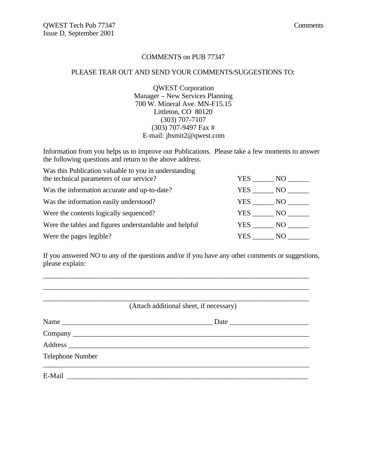#### COMMENTS on PUB 77347

#### PLEASE TEAR OUT AND SEND YOUR COMMENTS/SUGGESTIONS TO:

QWEST Corporation Manager – New Services Planning 700 W. Mineral Ave. MN-F15.15 Littleton, CO 80120 (303) 707-7107 (303) 707-9497 Fax # E-mail: jhsmit2@qwest.com

Information from you helps us to improve our Publications. Please take a few moments to answer the following questions and return to the above address.

| Was this Publication valuable to you in understanding<br>the technical parameters of our service? | YES    | NO - |
|---------------------------------------------------------------------------------------------------|--------|------|
| Was the information accurate and up-to-date?                                                      | YES    | NO   |
| Was the information easily understood?                                                            | YES    | NO   |
| Were the contents logically sequenced?                                                            | YES NO |      |
| Were the tables and figures understandable and helpful                                            | YES NO |      |
| Were the pages legible?                                                                           | YES.   | NO.  |

If you answered NO to any of the questions and/or if you have any other comments or suggestions, please explain:

\_\_\_\_\_\_\_\_\_\_\_\_\_\_\_\_\_\_\_\_\_\_\_\_\_\_\_\_\_\_\_\_\_\_\_\_\_\_\_\_\_\_\_\_\_\_\_\_\_\_\_\_\_\_\_\_\_\_\_\_\_\_\_\_\_\_\_\_\_\_\_\_\_\_

|                  | (Attach additional sheet, if necessary) |
|------------------|-----------------------------------------|
|                  |                                         |
|                  |                                         |
|                  |                                         |
| Telephone Number |                                         |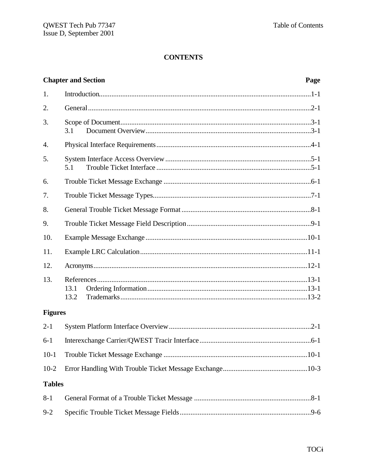|                | <b>Chapter and Section</b> | Page |
|----------------|----------------------------|------|
| 1.             |                            |      |
| 2.             |                            |      |
| 3.             | 3.1                        |      |
| 4.             |                            |      |
| 5.             | 5.1                        |      |
| 6.             |                            |      |
| 7.             |                            |      |
| 8.             |                            |      |
| 9.             |                            |      |
| 10.            |                            |      |
| 11.            |                            |      |
| 12.            |                            |      |
| 13.            | 13.1<br>13.2               |      |
| <b>Figures</b> |                            |      |
| $2 - 1$        |                            |      |
| $6 - 1$        |                            |      |
| $10-1$         |                            |      |
| $10-2$         |                            |      |
| <b>Tables</b>  |                            |      |
| $8 - 1$        |                            |      |
| $9 - 2$        |                            |      |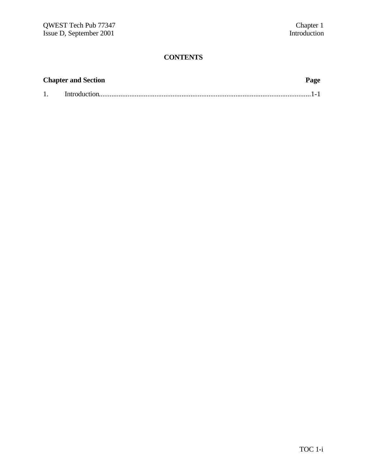| <b>Chapter and Section</b> | Page |
|----------------------------|------|
|                            |      |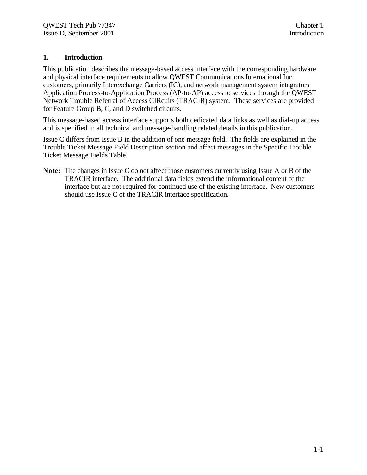#### **1. Introduction**

This publication describes the message-based access interface with the corresponding hardware and physical interface requirements to allow QWEST Communications International Inc. customers, primarily Interexchange Carriers (IC), and network management system integrators Application Process-to-Application Process (AP-to-AP) access to services through the QWEST Network Trouble Referral of Access CIRcuits (TRACIR) system. These services are provided for Feature Group B, C, and D switched circuits.

This message-based access interface supports both dedicated data links as well as dial-up access and is specified in all technical and message-handling related details in this publication.

Issue C differs from Issue B in the addition of one message field. The fields are explained in the Trouble Ticket Message Field Description section and affect messages in the Specific Trouble Ticket Message Fields Table.

**Note:** The changes in Issue C do not affect those customers currently using Issue A or B of the TRACIR interface. The additional data fields extend the informational content of the interface but are not required for continued use of the existing interface. New customers should use Issue C of the TRACIR interface specification.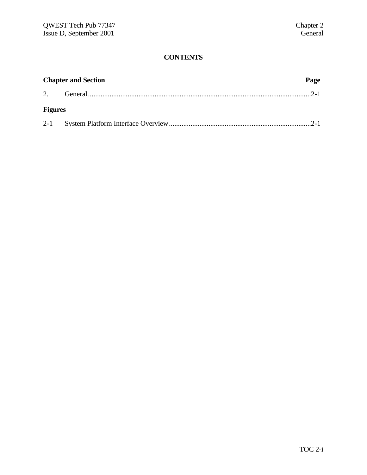| <b>Chapter and Section</b> |  | Page |  |
|----------------------------|--|------|--|
|                            |  |      |  |
| <b>Figures</b>             |  |      |  |
|                            |  |      |  |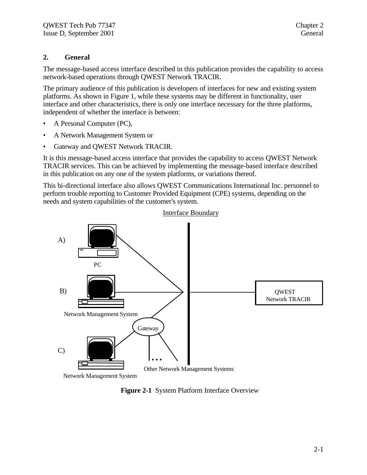#### **2. General**

The message-based access interface described in this publication provides the capability to access network-based operations through QWEST Network TRACIR.

The primary audience of this publication is developers of interfaces for new and existing system platforms. As shown in Figure 1, while these systems may be different in functionality, user interface and other characteristics, there is only one interface necessary for the three platforms, independent of whether the interface is between:

- A Personal Computer (PC),
- A Network Management System or
- Gateway and QWEST Network TRACIR.

It is this message-based access interface that provides the capability to access QWEST Network TRACIR services. This can be achieved by implementing the message-based interface described in this publication on any one of the system platforms, or variations thereof.

This bi-directional interface also allows QWEST Communications International Inc. personnel to perform trouble reporting to Customer Provided Equipment (CPE) systems, depending on the needs and system capabilities of the customer's system.



**Figure 2-1** System Platform Interface Overview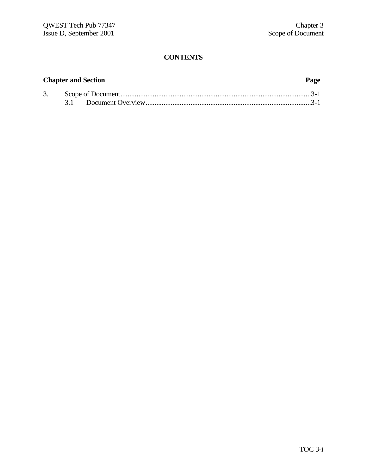## **Chapter and Section Page**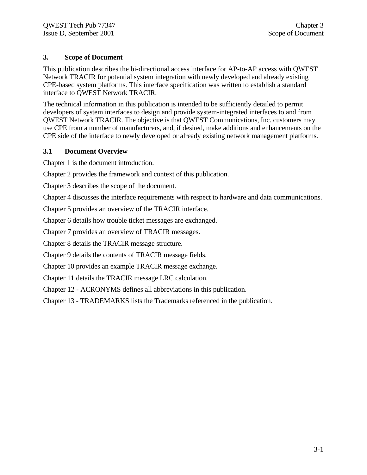#### **3. Scope of Document**

This publication describes the bi-directional access interface for AP-to-AP access with QWEST Network TRACIR for potential system integration with newly developed and already existing CPE-based system platforms. This interface specification was written to establish a standard interface to QWEST Network TRACIR.

The technical information in this publication is intended to be sufficiently detailed to permit developers of system interfaces to design and provide system-integrated interfaces to and from QWEST Network TRACIR. The objective is that QWEST Communications, Inc. customers may use CPE from a number of manufacturers, and, if desired, make additions and enhancements on the CPE side of the interface to newly developed or already existing network management platforms.

#### **3.1 Document Overview**

Chapter 1 is the document introduction.

Chapter 2 provides the framework and context of this publication.

Chapter 3 describes the scope of the document.

Chapter 4 discusses the interface requirements with respect to hardware and data communications.

Chapter 5 provides an overview of the TRACIR interface.

Chapter 6 details how trouble ticket messages are exchanged.

Chapter 7 provides an overview of TRACIR messages.

Chapter 8 details the TRACIR message structure.

Chapter 9 details the contents of TRACIR message fields.

Chapter 10 provides an example TRACIR message exchange.

Chapter 11 details the TRACIR message LRC calculation.

Chapter 12 - ACRONYMS defines all abbreviations in this publication.

Chapter 13 - TRADEMARKS lists the Trademarks referenced in the publication.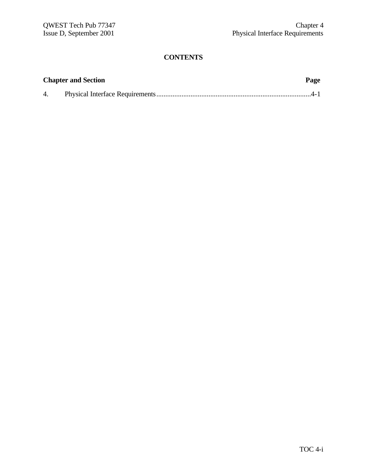|    | <b>Chapter and Section</b> | Page |
|----|----------------------------|------|
| 4. |                            |      |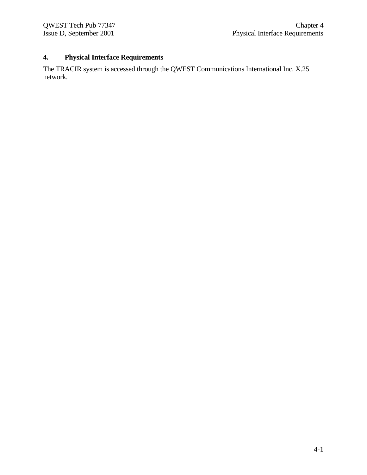# **4. Physical Interface Requirements**

The TRACIR system is accessed through the QWEST Communications International Inc. X.25 network.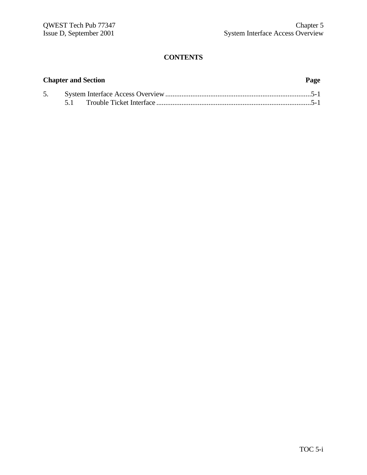# **Chapter and Section Page** 5. System Interface Access Overview.................................................................................5-1 5.1 Trouble Ticket Interface ......................................................................................5-1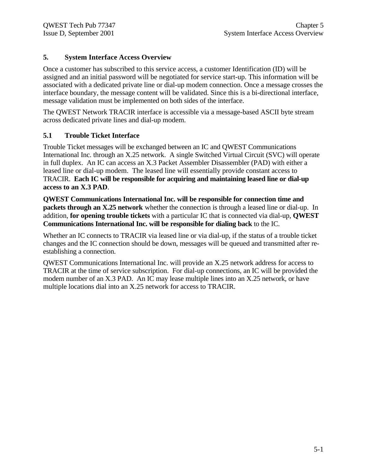#### **5. System Interface Access Overview**

Once a customer has subscribed to this service access, a customer Identification (ID) will be assigned and an initial password will be negotiated for service start-up. This information will be associated with a dedicated private line or dial-up modem connection. Once a message crosses the interface boundary, the message content will be validated. Since this is a bi-directional interface, message validation must be implemented on both sides of the interface.

The QWEST Network TRACIR interface is accessible via a message-based ASCII byte stream across dedicated private lines and dial-up modem.

### **5.1 Trouble Ticket Interface**

Trouble Ticket messages will be exchanged between an IC and QWEST Communications International Inc. through an X.25 network. A single Switched Virtual Circuit (SVC) will operate in full duplex. An IC can access an X.3 Packet Assembler Disassembler (PAD) with either a leased line or dial-up modem. The leased line will essentially provide constant access to TRACIR. **Each IC will be responsible for acquiring and maintaining leased line or dial-up access to an X.3 PAD**.

**QWEST Communications International Inc. will be responsible for connection time and packets through an X.25 network** whether the connection is through a leased line or dial-up. In addition, **for opening trouble tickets** with a particular IC that is connected via dial-up, **QWEST Communications International Inc. will be responsible for dialing back** to the IC.

Whether an IC connects to TRACIR via leased line or via dial-up, if the status of a trouble ticket changes and the IC connection should be down, messages will be queued and transmitted after reestablishing a connection.

QWEST Communications International Inc. will provide an X.25 network address for access to TRACIR at the time of service subscription. For dial-up connections, an IC will be provided the modem number of an X.3 PAD. An IC may lease multiple lines into an X.25 network, or have multiple locations dial into an X.25 network for access to TRACIR.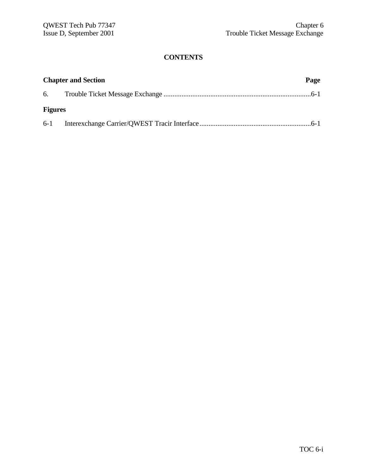| <b>Chapter and Section</b> |  | Page |  |
|----------------------------|--|------|--|
|                            |  |      |  |
| <b>Figures</b>             |  |      |  |
|                            |  |      |  |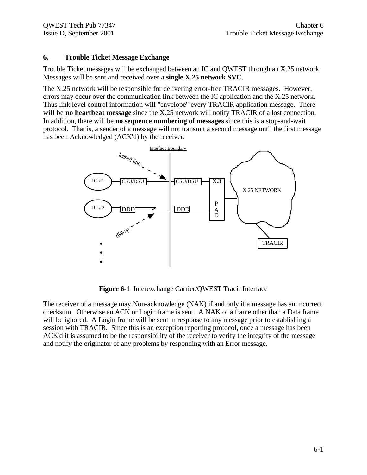### **6. Trouble Ticket Message Exchange**

Trouble Ticket messages will be exchanged between an IC and QWEST through an X.25 network. Messages will be sent and received over a **single X.25 network SVC**.

The X.25 network will be responsible for delivering error-free TRACIR messages. However, errors may occur over the communication link between the IC application and the X.25 network. Thus link level control information will "envelope" every TRACIR application message. There will be **no heartbeat message** since the X.25 network will notify TRACIR of a lost connection. In addition, there will be **no sequence numbering of messages** since this is a stop-and-wait protocol. That is, a sender of a message will not transmit a second message until the first message has been Acknowledged (ACK'd) by the receiver.



**Figure 6-1** Interexchange Carrier/QWEST Tracir Interface

The receiver of a message may Non-acknowledge (NAK) if and only if a message has an incorrect checksum. Otherwise an ACK or Login frame is sent. A NAK of a frame other than a Data frame will be ignored. A Login frame will be sent in response to any message prior to establishing a session with TRACIR. Since this is an exception reporting protocol, once a message has been ACK'd it is assumed to be the responsibility of the receiver to verify the integrity of the message and notify the originator of any problems by responding with an Error message.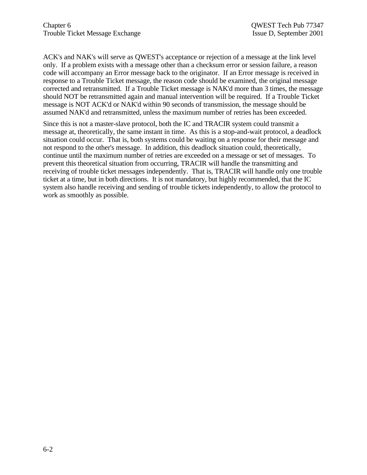ACK's and NAK's will serve as QWEST's acceptance or rejection of a message at the link level only. If a problem exists with a message other than a checksum error or session failure, a reason code will accompany an Error message back to the originator. If an Error message is received in response to a Trouble Ticket message, the reason code should be examined, the original message corrected and retransmitted. If a Trouble Ticket message is NAK'd more than 3 times, the message should NOT be retransmitted again and manual intervention will be required. If a Trouble Ticket message is NOT ACK'd or NAK'd within 90 seconds of transmission, the message should be assumed NAK'd and retransmitted, unless the maximum number of retries has been exceeded.

Since this is not a master-slave protocol, both the IC and TRACIR system could transmit a message at, theoretically, the same instant in time. As this is a stop-and-wait protocol, a deadlock situation could occur. That is, both systems could be waiting on a response for their message and not respond to the other's message. In addition, this deadlock situation could, theoretically, continue until the maximum number of retries are exceeded on a message or set of messages. To prevent this theoretical situation from occurring, TRACIR will handle the transmitting and receiving of trouble ticket messages independently. That is, TRACIR will handle only one trouble ticket at a time, but in both directions. It is not mandatory, but highly recommended, that the IC system also handle receiving and sending of trouble tickets independently, to allow the protocol to work as smoothly as possible.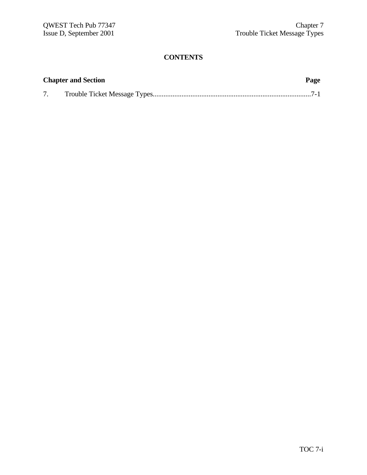| <b>Chapter and Section</b> | Page |
|----------------------------|------|
|                            |      |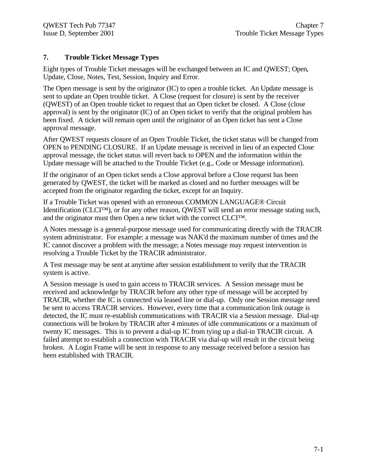### **7. Trouble Ticket Message Types**

Eight types of Trouble Ticket messages will be exchanged between an IC and QWEST; Open, Update, Close, Notes, Test, Session, Inquiry and Error.

The Open message is sent by the originator (IC) to open a trouble ticket. An Update message is sent to update an Open trouble ticket. A Close (request for closure) is sent by the receiver (QWEST) of an Open trouble ticket to request that an Open ticket be closed. A Close (close approval) is sent by the originator (IC) of an Open ticket to verify that the original problem has been fixed. A ticket will remain open until the originator of an Open ticket has sent a Close approval message.

After QWEST requests closure of an Open Trouble Ticket, the ticket status will be changed from OPEN to PENDING CLOSURE. If an Update message is received in lieu of an expected Close approval message, the ticket status will revert back to OPEN and the information within the Update message will be attached to the Trouble Ticket (e.g., Code or Message information).

If the originator of an Open ticket sends a Close approval before a Close request has been generated by QWEST, the ticket will be marked as closed and no further messages will be accepted from the originator regarding the ticket, except for an Inquiry.

If a Trouble Ticket was opened with an erroneous COMMON LANGUAGE® Circuit Identification (CLCI™), or for any other reason, QWEST will send an error message stating such, and the originator must then Open a new ticket with the correct CLCI™.

A Notes message is a general-purpose message used for communicating directly with the TRACIR system administrator. For example: a message was NAK'd the maximum number of times and the IC cannot discover a problem with the message; a Notes message may request intervention in resolving a Trouble Ticket by the TRACIR administrator.

A Test message may be sent at anytime after session establishment to verify that the TRACIR system is active.

A Session message is used to gain access to TRACIR services. A Session message must be received and acknowledge by TRACIR before any other type of message will be accepted by TRACIR, whether the IC is connected via leased line or dial-up. Only one Session message need be sent to access TRACIR services. However, every time that a communication link outage is detected, the IC must re-establish communications with TRACIR via a Session message. Dial-up connections will be broken by TRACIR after 4 minutes of idle communications or a maximum of twenty IC messages. This is to prevent a dial-up IC from tying up a dial-in TRACIR circuit. A failed attempt to establish a connection with TRACIR via dial-up will result in the circuit being broken. A Login Frame will be sent in response to any message received before a session has been established with TRACIR.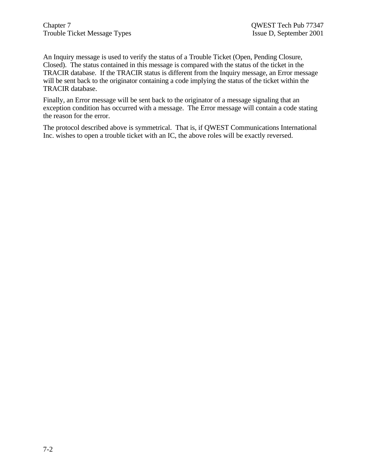An Inquiry message is used to verify the status of a Trouble Ticket (Open, Pending Closure, Closed). The status contained in this message is compared with the status of the ticket in the TRACIR database. If the TRACIR status is different from the Inquiry message, an Error message will be sent back to the originator containing a code implying the status of the ticket within the TRACIR database.

Finally, an Error message will be sent back to the originator of a message signaling that an exception condition has occurred with a message. The Error message will contain a code stating the reason for the error.

The protocol described above is symmetrical. That is, if QWEST Communications International Inc. wishes to open a trouble ticket with an IC, the above roles will be exactly reversed.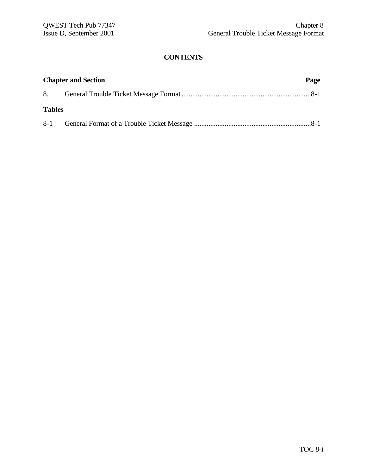| <b>Chapter and Section</b> |  | Page |  |
|----------------------------|--|------|--|
|                            |  |      |  |
| <b>Tables</b>              |  |      |  |
|                            |  |      |  |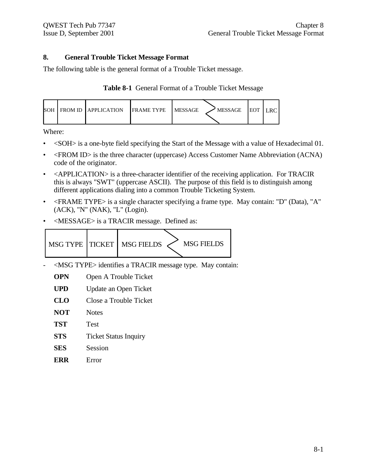#### **8. General Trouble Ticket Message Format**

The following table is the general format of a Trouble Ticket message.

| Table 8-1 General Format of a Trouble Ticket Message |  |  |  |  |  |  |
|------------------------------------------------------|--|--|--|--|--|--|
|------------------------------------------------------|--|--|--|--|--|--|

| SOH FROM ID LAPPLICATION<br><b>IFRAME TYPE</b> | <b>IMESSAGE</b><br>' MESSAGE<br><b>IEOT</b> |
|------------------------------------------------|---------------------------------------------|
|------------------------------------------------|---------------------------------------------|

Where:

- <SOH> is a one-byte field specifying the Start of the Message with a value of Hexadecimal 01.
- <FROM ID> is the three character (uppercase) Access Customer Name Abbreviation (ACNA) code of the originator.
- <APPLICATION> is a three-character identifier of the receiving application. For TRACIR this is always "SWT" (uppercase ASCII). The purpose of this field is to distinguish among different applications dialing into a common Trouble Ticketing System.
- <FRAME TYPE> is a single character specifying a frame type. May contain: "D" (Data), "A" (ACK), "N" (NAK), "L" (Login).
- <MESSAGE> is a TRACIR message. Defined as:



- <MSG TYPE> identifies a TRACIR message type. May contain:
	- **OPN** Open A Trouble Ticket
	- **UPD** Update an Open Ticket
	- **CLO** Close a Trouble Ticket
	- **NOT** Notes
	- **TST** Test
	- **STS** Ticket Status Inquiry
	- **SES** Session
	- **ERR** Error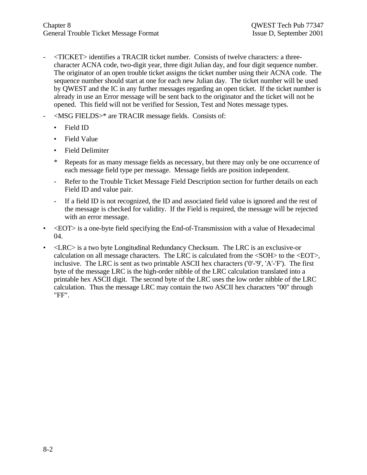- <TICKET> identifies a TRACIR ticket number. Consists of twelve characters: a threecharacter ACNA code, two-digit year, three digit Julian day, and four digit sequence number. The originator of an open trouble ticket assigns the ticket number using their ACNA code. The sequence number should start at one for each new Julian day. The ticket number will be used by QWEST and the IC in any further messages regarding an open ticket. If the ticket number is already in use an Error message will be sent back to the originator and the ticket will not be opened. This field will not be verified for Session, Test and Notes message types.
- <MSG FIELDS>\* are TRACIR message fields. Consists of:
	- Field ID
	- Field Value
	- Field Delimiter
	- \* Repeats for as many message fields as necessary, but there may only be one occurrence of each message field type per message. Message fields are position independent.
	- Refer to the Trouble Ticket Message Field Description section for further details on each Field ID and value pair.
	- If a field ID is not recognized, the ID and associated field value is ignored and the rest of the message is checked for validity. If the Field is required, the message will be rejected with an error message.
- <EOT> is a one-byte field specifying the End-of-Transmission with a value of Hexadecimal 04.
- <LRC> is a two byte Longitudinal Redundancy Checksum. The LRC is an exclusive-or calculation on all message characters. The LRC is calculated from the <SOH> to the <EOT>, inclusive. The LRC is sent as two printable ASCII hex characters ('0'-'9', 'A'-'F'). The first byte of the message LRC is the high-order nibble of the LRC calculation translated into a printable hex ASCII digit. The second byte of the LRC uses the low order nibble of the LRC calculation. Thus the message LRC may contain the two ASCII hex characters "00" through "FF".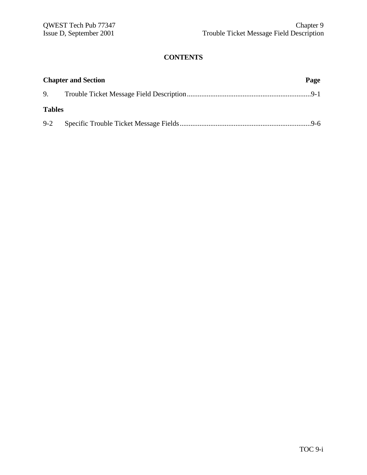| <b>Chapter and Section</b> |  |  |
|----------------------------|--|--|
|                            |  |  |
| <b>Tables</b>              |  |  |
|                            |  |  |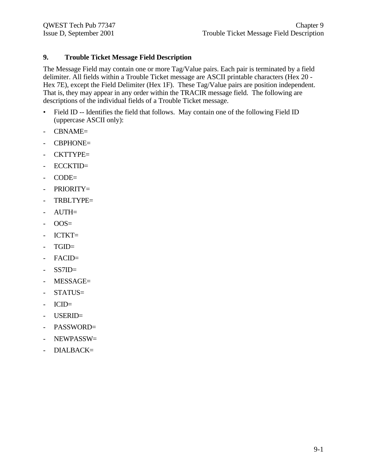### **9. Trouble Ticket Message Field Description**

The Message Field may contain one or more Tag/Value pairs. Each pair is terminated by a field delimiter. All fields within a Trouble Ticket message are ASCII printable characters (Hex 20 - Hex 7E), except the Field Delimiter (Hex 1F). These Tag/Value pairs are position independent. That is, they may appear in any order within the TRACIR message field. The following are descriptions of the individual fields of a Trouble Ticket message.

- Field ID -- Identifies the field that follows. May contain one of the following Field ID (uppercase ASCII only):
- CBNAME=
- CBPHONE=
- CKTTYPE=
- ECCKTID=
- CODE=
- PRIORITY=
- TRBLTYPE=
- AUTH=
- $-$  OOS=
- ICTKT=
- TGID=
- FACID=
- SS7ID=
- MESSAGE=
- STATUS=
- ICID=
- USERID=
- PASSWORD=
- NEWPASSW=
- DIALBACK=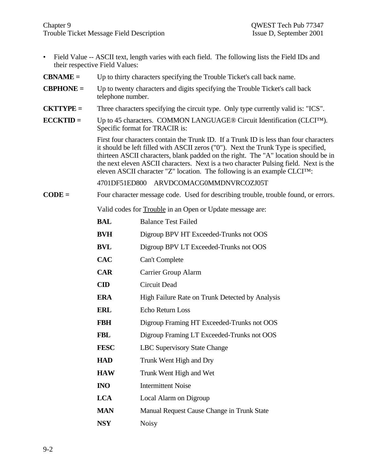- Field Value -- ASCII text, length varies with each field. The following lists the Field IDs and their respective Field Values:
- **CBNAME =** Up to thirty characters specifying the Trouble Ticket's call back name.
- **CBPHONE =** Up to twenty characters and digits specifying the Trouble Ticket's call back telephone number.
- **CKTTYPE =** Three characters specifying the circuit type. Only type currently valid is: "ICS".
- **ECCKTID =** Up to 45 characters. COMMON LANGUAGE® Circuit Identification (CLCI™). Specific format for TRACIR is:

First four characters contain the Trunk ID. If a Trunk ID is less than four characters it should be left filled with ASCII zeros ("0"). Next the Trunk Type is specified, thirteen ASCII characters, blank padded on the right. The "A" location should be in the next eleven ASCII characters. Next is a two character Pulsing field. Next is the eleven ASCII character "Z" location. The following is an example CLCI™:

4701DF51ED800 ARVDCOMACG0MMDNVRCOZJ05T

**CODE =** Four character message code. Used for describing trouble, trouble found, or errors.

Valid codes for Trouble in an Open or Update message are:

| <b>BAL</b>     | <b>Balance Test Failed</b>                      |
|----------------|-------------------------------------------------|
| <b>BVH</b>     | Digroup BPV HT Exceeded-Trunks not OOS          |
| <b>BVL</b>     | Digroup BPV LT Exceeded-Trunks not OOS          |
| <b>CAC</b>     | Can't Complete                                  |
| <b>CAR</b>     | Carrier Group Alarm                             |
| $\mathbf{CID}$ | Circuit Dead                                    |
| <b>ERA</b>     | High Failure Rate on Trunk Detected by Analysis |
| <b>ERL</b>     | Echo Return Loss                                |
| <b>FBH</b>     | Digroup Framing HT Exceeded-Trunks not OOS      |
| <b>FBL</b>     | Digroup Framing LT Exceeded-Trunks not OOS      |
| <b>FESC</b>    | <b>LBC Supervisory State Change</b>             |
| <b>HAD</b>     | Trunk Went High and Dry                         |
| <b>HAW</b>     | Trunk Went High and Wet                         |
| <b>INO</b>     | <b>Intermittent Noise</b>                       |
| <b>LCA</b>     | Local Alarm on Digroup                          |
| <b>MAN</b>     | Manual Request Cause Change in Trunk State      |
| <b>NSY</b>     | <b>Noisy</b>                                    |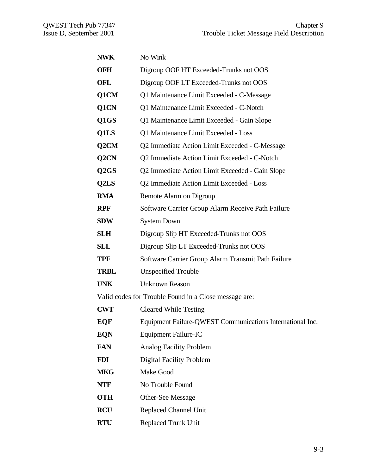| <b>NWK</b>        | No Wink                                                      |
|-------------------|--------------------------------------------------------------|
| OFH               | Digroup OOF HT Exceeded-Trunks not OOS                       |
| OFL               | Digroup OOF LT Exceeded-Trunks not OOS                       |
| Q1CM              | Q1 Maintenance Limit Exceeded - C-Message                    |
| Q1CN              | Q1 Maintenance Limit Exceeded - C-Notch                      |
| Q1GS              | Q1 Maintenance Limit Exceeded - Gain Slope                   |
| Q1LS              | Q1 Maintenance Limit Exceeded - Loss                         |
| Q2CM              | Q2 Immediate Action Limit Exceeded - C-Message               |
| Q2CN              | Q2 Immediate Action Limit Exceeded - C-Notch                 |
| Q <sub>2</sub> GS | Q2 Immediate Action Limit Exceeded - Gain Slope              |
| Q2LS              | Q2 Immediate Action Limit Exceeded - Loss                    |
| <b>RMA</b>        | Remote Alarm on Digroup                                      |
| <b>RPF</b>        | Software Carrier Group Alarm Receive Path Failure            |
| <b>SDW</b>        | <b>System Down</b>                                           |
| <b>SLH</b>        | Digroup Slip HT Exceeded-Trunks not OOS                      |
| <b>SLL</b>        | Digroup Slip LT Exceeded-Trunks not OOS                      |
| <b>TPF</b>        | Software Carrier Group Alarm Transmit Path Failure           |
| <b>TRBL</b>       | <b>Unspecified Trouble</b>                                   |
| <b>UNK</b>        | <b>Unknown Reason</b>                                        |
|                   | Valid codes for <b>Trouble Found</b> in a Close message are: |
| <b>CWT</b>        | <b>Cleared While Testing</b>                                 |
| <b>EQF</b>        | Equipment Failure-QWEST Communications International Inc.    |
| <b>EQN</b>        | Equipment Failure-IC                                         |
| <b>FAN</b>        | <b>Analog Facility Problem</b>                               |
| <b>FDI</b>        | <b>Digital Facility Problem</b>                              |
| <b>MKG</b>        | Make Good                                                    |
| <b>NTF</b>        | No Trouble Found                                             |
| <b>OTH</b>        | Other-See Message                                            |
| <b>RCU</b>        | <b>Replaced Channel Unit</b>                                 |
| <b>RTU</b>        | <b>Replaced Trunk Unit</b>                                   |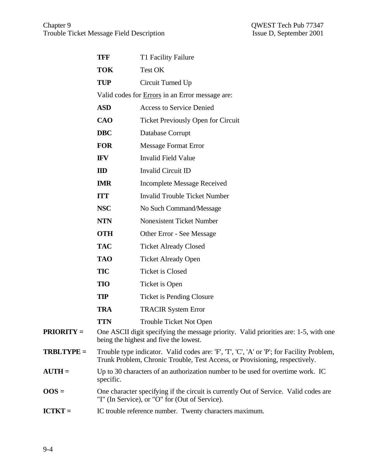|                           | <b>TFF</b> | T1 Facility Failure                                                                                                                                                      |
|---------------------------|------------|--------------------------------------------------------------------------------------------------------------------------------------------------------------------------|
|                           | <b>TOK</b> | Test OK                                                                                                                                                                  |
|                           | <b>TUP</b> | Circuit Turned Up                                                                                                                                                        |
|                           |            | Valid codes for <b>Errors</b> in an Error message are:                                                                                                                   |
|                           | <b>ASD</b> | <b>Access to Service Denied</b>                                                                                                                                          |
|                           | <b>CAO</b> | <b>Ticket Previously Open for Circuit</b>                                                                                                                                |
|                           | <b>DBC</b> | Database Corrupt                                                                                                                                                         |
|                           | <b>FOR</b> | <b>Message Format Error</b>                                                                                                                                              |
|                           | <b>IFV</b> | <b>Invalid Field Value</b>                                                                                                                                               |
|                           | ID         | <b>Invalid Circuit ID</b>                                                                                                                                                |
|                           | <b>IMR</b> | <b>Incomplete Message Received</b>                                                                                                                                       |
|                           | <b>ITT</b> | <b>Invalid Trouble Ticket Number</b>                                                                                                                                     |
|                           | <b>NSC</b> | No Such Command/Message                                                                                                                                                  |
|                           | <b>NTN</b> | <b>Nonexistent Ticket Number</b>                                                                                                                                         |
|                           | <b>OTH</b> | Other Error - See Message                                                                                                                                                |
|                           | <b>TAC</b> | <b>Ticket Already Closed</b>                                                                                                                                             |
|                           | <b>TAO</b> | <b>Ticket Already Open</b>                                                                                                                                               |
|                           | <b>TIC</b> | <b>Ticket is Closed</b>                                                                                                                                                  |
|                           | <b>TIO</b> | Ticket is Open                                                                                                                                                           |
|                           | <b>TIP</b> | <b>Ticket is Pending Closure</b>                                                                                                                                         |
|                           | <b>TRA</b> | <b>TRACIR System Error</b>                                                                                                                                               |
|                           | <b>TTN</b> | <b>Trouble Ticket Not Open</b>                                                                                                                                           |
| <b>PRIORITY =</b>         |            | One ASCII digit specifying the message priority. Valid priorities are: 1-5, with one<br>being the highest and five the lowest.                                           |
| <b>TRBLTYPE =</b>         |            | Trouble type indicator. Valid codes are: 'F', 'T', 'C', 'A' or 'P'; for Facility Problem,<br>Trunk Problem, Chronic Trouble, Test Access, or Provisioning, respectively. |
| $\bf{A} \bf{U} \bf{TH} =$ | specific.  | Up to 30 characters of an authorization number to be used for overtime work. IC                                                                                          |
| $00S =$                   |            | One character specifying if the circuit is currently Out of Service. Valid codes are<br>"I" (In Service), or "O" for (Out of Service).                                   |
| <b>ICTKT =</b>            |            | IC trouble reference number. Twenty characters maximum.                                                                                                                  |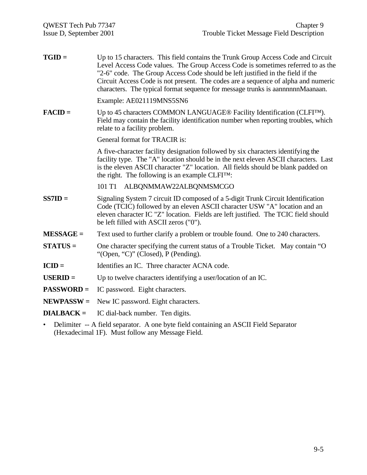| $TGID =$          | Up to 15 characters. This field contains the Trunk Group Access Code and Circuit<br>Level Access Code values. The Group Access Code is sometimes referred to as the<br>"2-6" code. The Group Access Code should be left justified in the field if the<br>Circuit Access Code is not present. The codes are a sequence of alpha and numeric<br>characters. The typical format sequence for message trunks is aannnnnmMaanaan. |
|-------------------|------------------------------------------------------------------------------------------------------------------------------------------------------------------------------------------------------------------------------------------------------------------------------------------------------------------------------------------------------------------------------------------------------------------------------|
|                   | Example: AE021119MNS5SN6                                                                                                                                                                                                                                                                                                                                                                                                     |
| $FACD =$          | Up to 45 characters COMMON LANGUAGE® Facility Identification (CLFI <sup>TM</sup> ).<br>Field may contain the facility identification number when reporting troubles, which<br>relate to a facility problem.                                                                                                                                                                                                                  |
|                   | General format for TRACIR is:                                                                                                                                                                                                                                                                                                                                                                                                |
|                   | A five-character facility designation followed by six characters identifying the<br>facility type. The "A" location should be in the next eleven ASCII characters. Last<br>is the eleven ASCII character "Z" location. All fields should be blank padded on<br>the right. The following is an example $CLFI^{TM}$ :                                                                                                          |
|                   | 101 T1 ALBQNMMAW22ALBQNMSMCGO                                                                                                                                                                                                                                                                                                                                                                                                |
| $SS7ID =$         | Signaling System 7 circuit ID composed of a 5-digit Trunk Circuit Identification<br>Code (TCIC) followed by an eleven ASCII character USW "A" location and an<br>eleven character IC "Z" location. Fields are left justified. The TCIC field should<br>be left filled with ASCII zeros ("0").                                                                                                                                |
| $MESSAGE =$       | Text used to further clarify a problem or trouble found. One to 240 characters.                                                                                                                                                                                                                                                                                                                                              |
| $STATUS =$        | One character specifying the current status of a Trouble Ticket. May contain "O<br>"(Open, "C)" (Closed), $P$ (Pending).                                                                                                                                                                                                                                                                                                     |
| $ICID =$          | Identifies an IC. Three character ACNA code.                                                                                                                                                                                                                                                                                                                                                                                 |
| $USERID =$        | Up to twelve characters identifying a user/location of an IC.                                                                                                                                                                                                                                                                                                                                                                |
| <b>PASSWORD =</b> | IC password. Eight characters.                                                                                                                                                                                                                                                                                                                                                                                               |
| $NEWPASSW =$      | New IC password. Eight characters.                                                                                                                                                                                                                                                                                                                                                                                           |
| $DIALBACK =$      | IC dial-back number. Ten digits.                                                                                                                                                                                                                                                                                                                                                                                             |
| $\bullet$         | Delimiter -- A field separator. A one byte field containing an ASCII Field Separator<br>(Hexadecimal 1F). Must follow any Message Field.                                                                                                                                                                                                                                                                                     |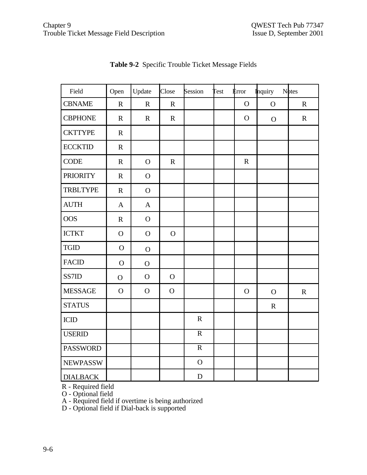| Field           | Open           | Update         | Close       | Session        | <b>Test</b> | <b>Error</b> | <b>Inquiry</b> | <b>N</b> otes |
|-----------------|----------------|----------------|-------------|----------------|-------------|--------------|----------------|---------------|
| <b>CBNAME</b>   | $\mathbf R$    | $\mathbf R$    | $\mathbf R$ |                |             | $\mathbf{O}$ | $\mathbf{O}$   | $\mathbf R$   |
| <b>CBPHONE</b>  | $\mathbf R$    | $\mathbf R$    | $\mathbf R$ |                |             | $\mathbf{O}$ | $\mathbf O$    | $\mathbf R$   |
| <b>CKTTYPE</b>  | $\mathbf{R}$   |                |             |                |             |              |                |               |
| <b>ECCKTID</b>  | $\mathbf R$    |                |             |                |             |              |                |               |
| <b>CODE</b>     | $\mathbf R$    | $\mathbf O$    | $\mathbf R$ |                |             | $\mathbf R$  |                |               |
| <b>PRIORITY</b> | $\mathbf R$    | $\mathbf O$    |             |                |             |              |                |               |
| <b>TRBLTYPE</b> | $\mathbf R$    | $\overline{O}$ |             |                |             |              |                |               |
| <b>AUTH</b>     | $\mathbf{A}$   | $\mathbf{A}$   |             |                |             |              |                |               |
| <b>OOS</b>      | $\mathbf R$    | $\mathbf{O}$   |             |                |             |              |                |               |
| <b>ICTKT</b>    | $\mathbf{O}$   | $\mathbf O$    | $\mathbf O$ |                |             |              |                |               |
| <b>TGID</b>     | $\overline{O}$ | $\overline{O}$ |             |                |             |              |                |               |
| <b>FACID</b>    | $\mathbf O$    | $\mathbf{O}$   |             |                |             |              |                |               |
| SS7ID           | $\overline{O}$ | $\mathbf{O}$   | $\mathbf O$ |                |             |              |                |               |
| <b>MESSAGE</b>  | $\overline{O}$ | $\mathbf O$    | $\mathbf O$ |                |             | $\mathbf{O}$ | $\mathbf O$    | $\mathbf R$   |
| <b>STATUS</b>   |                |                |             |                |             |              | $\mathbf R$    |               |
| <b>ICID</b>     |                |                |             | $\mathbf R$    |             |              |                |               |
| <b>USERID</b>   |                |                |             | $\overline{R}$ |             |              |                |               |
| <b>PASSWORD</b> |                |                |             | $\mathbf R$    |             |              |                |               |
| <b>NEWPASSW</b> |                |                |             | $\mathbf O$    |             |              |                |               |
| <b>DIALBACK</b> |                |                |             | ${\bf D}$      |             |              |                |               |

**Table 9-2** Specific Trouble Ticket Message Fields

R - Required field

O - Optional field

A - Required field if overtime is being authorized

D - Optional field if Dial-back is supported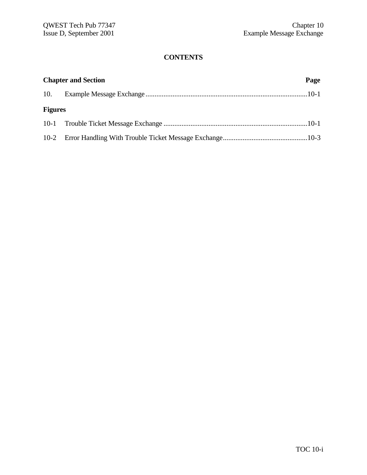| <b>Chapter and Section</b> |  |  |
|----------------------------|--|--|
|                            |  |  |
| <b>Figures</b>             |  |  |
|                            |  |  |
|                            |  |  |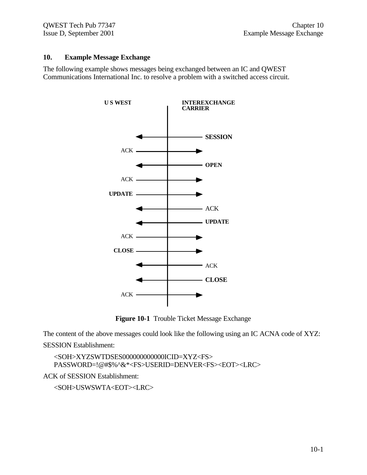#### **10. Example Message Exchange**

The following example shows messages being exchanged between an IC and QWEST Communications International Inc. to resolve a problem with a switched access circuit.



**Figure 10-1** Trouble Ticket Message Exchange

The content of the above messages could look like the following using an IC ACNA code of XYZ:

SESSION Establishment:

<SOH>XYZSWTDSES000000000000ICID=XYZ<FS> PASSWORD=!@#\$%^&\*<FS>USERID=DENVER<FS><EOT><LRC>

ACK of SESSION Establishment:

<SOH>USWSWTA<EOT><LRC>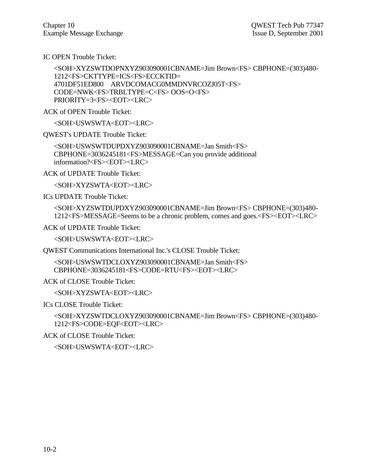IC OPEN Trouble Ticket:

```
<SOH>XYZSWTDOPNXYZ903090001CBNAME=Jim Brown<FS> CBPHONE=(303)480-
1212<FS>CKTTYPE=ICS<FS>ECCKTID=
4701DF51ED800 ARVDCOMACG0MMDNVRCOZJ05T<FS>
CODE=NWK<FS>TRBLTYPE=C<FS> OOS=O<FS>
PRIORITY=3<FS><EOT><LRC>
```
ACK of OPEN Trouble Ticket:

<SOH>USWSWTA<EOT><LRC>

QWEST's UPDATE Trouble Ticket:

<SOH>USWSWTDUPDXYZ903090001CBNAME=Jan Smith<FS> CBPHONE=3036245181<FS>MESSAGE=Can you provide additional information?<FS><EOT><LRC>

ACK of UPDATE Trouble Ticket:

<SOH>XYZSWTA<EOT><LRC>

ICs UPDATE Trouble Ticket:

<SOH>XYZSWTDUPDXYZ903090001CBNAME=Jim Brown<FS> CBPHONE=(303)480- 1212<FS>MESSAGE=Seems to be a chronic problem, comes and goes.<FS><EOT><LRC>

ACK of UPDATE Trouble Ticket:

<SOH>USWSWTA<EOT><LRC>

QWEST Communications International Inc.'s CLOSE Trouble Ticket:

<SOH>USWSWTDCLOXYZ903090001CBNAME=Jan Smith<FS> CBPHONE=3036245181<FS>CODE=RTU<FS><EOT><LRC>

ACK of CLOSE Trouble Ticket:

<SOH>XYZSWTA<EOT><LRC>

ICs CLOSE Trouble Ticket:

<SOH>XYZSWTDCLOXYZ903090001CBNAME=Jim Brown<FS> CBPHONE=(303)480- 1212<FS>CODE=EQF<EOT><LRC>

ACK of CLOSE Trouble Ticket:

<SOH>USWSWTA<EOT><LRC>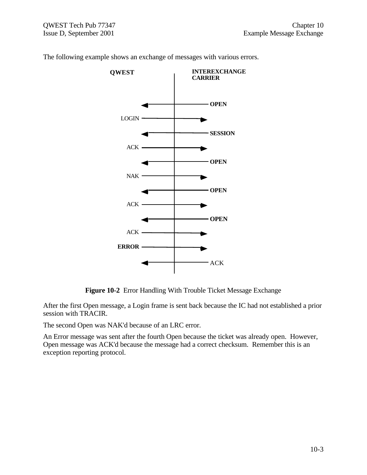

The following example shows an exchange of messages with various errors.

**Figure 10-2** Error Handling With Trouble Ticket Message Exchange

After the first Open message, a Login frame is sent back because the IC had not established a prior session with TRACIR.

The second Open was NAK'd because of an LRC error.

An Error message was sent after the fourth Open because the ticket was already open. However, Open message was ACK'd because the message had a correct checksum. Remember this is an exception reporting protocol.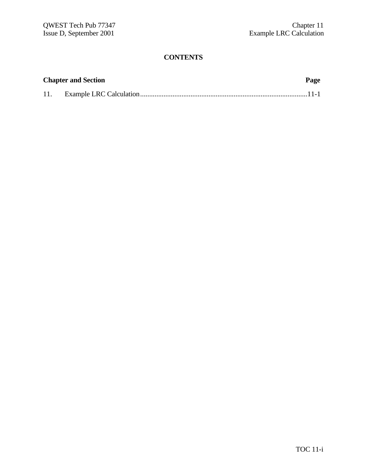| <b>Chapter and Section</b> |  |  |
|----------------------------|--|--|
| 11.                        |  |  |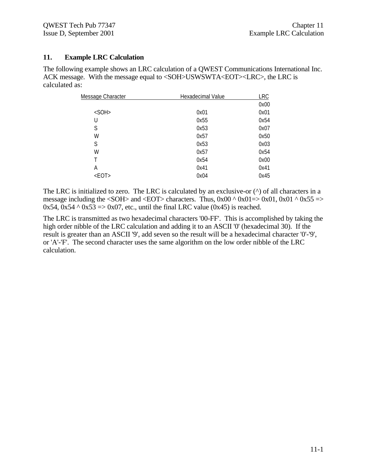#### **11. Example LRC Calculation**

The following example shows an LRC calculation of a QWEST Communications International Inc. ACK message. With the message equal to <SOH>USWSWTA<EOT><LRC>, the LRC is calculated as:

| Hexadecimal Value | <b>LRC</b> |
|-------------------|------------|
|                   | 0x00       |
| 0x01              | 0x01       |
| 0x55              | 0x54       |
| 0x53              | 0x07       |
| 0x57              | 0x50       |
| 0x53              | 0x03       |
| 0x57              | 0x54       |
| 0x54              | 0x00       |
| 0x41              | 0x41       |
| 0x04              | 0x45       |
|                   |            |

The LRC is initialized to zero. The LRC is calculated by an exclusive-or  $(^\wedge)$  of all characters in a message including the  $\langle \text{SOH} \rangle$  and  $\langle \text{EOT} \rangle$  characters. Thus, 0x00 ^ 0x01=> 0x01, 0x01 ^ 0x55 =>  $0x54$ ,  $0x54 \land 0x53 \Rightarrow 0x07$ , etc., until the final LRC value  $(0x45)$  is reached.

The LRC is transmitted as two hexadecimal characters '00-FF'. This is accomplished by taking the high order nibble of the LRC calculation and adding it to an ASCII '0' (hexadecimal 30). If the result is greater than an ASCII '9', add seven so the result will be a hexadecimal character '0'-'9', or 'A'-'F'. The second character uses the same algorithm on the low order nibble of the LRC calculation.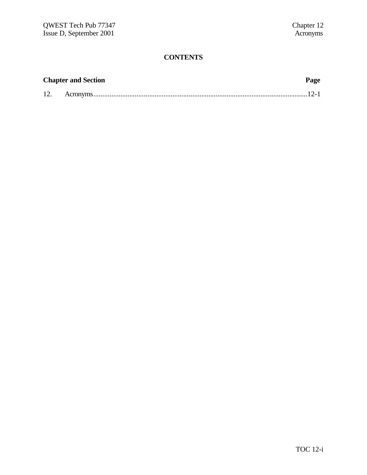|     | <b>Chapter and Section</b> | Page |
|-----|----------------------------|------|
| 12. |                            |      |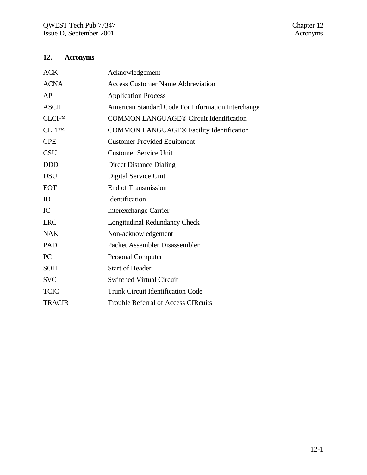# **12. Acronyms**

| <b>ACK</b>    | Acknowledgement                                    |
|---------------|----------------------------------------------------|
| <b>ACNA</b>   | <b>Access Customer Name Abbreviation</b>           |
| AP            | <b>Application Process</b>                         |
| <b>ASCII</b>  | American Standard Code For Information Interchange |
| <b>CLCITM</b> | <b>COMMON LANGUAGE® Circuit Identification</b>     |
| <b>CLFITM</b> | <b>COMMON LANGUAGE® Facility Identification</b>    |
| <b>CPE</b>    | <b>Customer Provided Equipment</b>                 |
| <b>CSU</b>    | <b>Customer Service Unit</b>                       |
| <b>DDD</b>    | <b>Direct Distance Dialing</b>                     |
| <b>DSU</b>    | Digital Service Unit                               |
| <b>EOT</b>    | <b>End of Transmission</b>                         |
| ID            | Identification                                     |
| IC            | <b>Interexchange Carrier</b>                       |
| <b>LRC</b>    | <b>Longitudinal Redundancy Check</b>               |
| <b>NAK</b>    | Non-acknowledgement                                |
| PAD           | Packet Assembler Disassembler                      |
| PC            | <b>Personal Computer</b>                           |
| <b>SOH</b>    | <b>Start of Header</b>                             |
| <b>SVC</b>    | <b>Switched Virtual Circuit</b>                    |
| <b>TCIC</b>   | <b>Trunk Circuit Identification Code</b>           |
| <b>TRACIR</b> | <b>Trouble Referral of Access CIRcuits</b>         |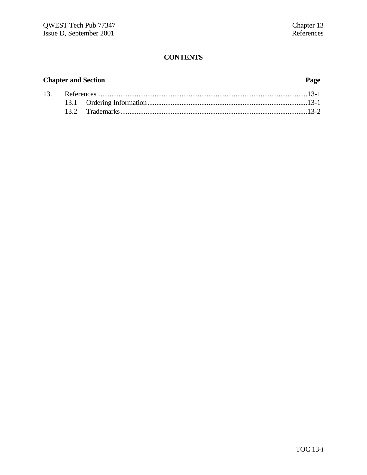## **Chapter and Section Page**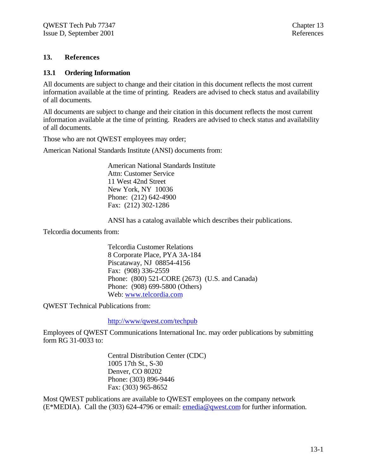#### **13. References**

#### **13.1 Ordering Information**

All documents are subject to change and their citation in this document reflects the most current information available at the time of printing. Readers are advised to check status and availability of all documents.

All documents are subject to change and their citation in this document reflects the most current information available at the time of printing. Readers are advised to check status and availability of all documents.

Those who are not QWEST employees may order;

American National Standards Institute (ANSI) documents from:

American National Standards Institute Attn: Customer Service 11 West 42nd Street New York, NY 10036 Phone: (212) 642-4900 Fax: (212) 302-1286

ANSI has a catalog available which describes their publications.

Telcordia documents from:

Telcordia Customer Relations 8 Corporate Place, PYA 3A-184 Piscataway, NJ 08854-4156 Fax: (908) 336-2559 Phone: (800) 521-CORE (2673) (U.S. and Canada) Phone: (908) 699-5800 (Others) Web: www.telcordia.com

QWEST Technical Publications from:

http://www/qwest.com/techpub

Employees of QWEST Communications International Inc. may order publications by submitting form RG 31-0033 to:

> Central Distribution Center (CDC) 1005 17th St., S-30 Denver, CO 80202 Phone: (303) 896-9446 Fax: (303) 965-8652

Most QWEST publications are available to QWEST employees on the company network (E\*MEDIA). Call the (303) 624-4796 or email: emedia@qwest.com for further information.